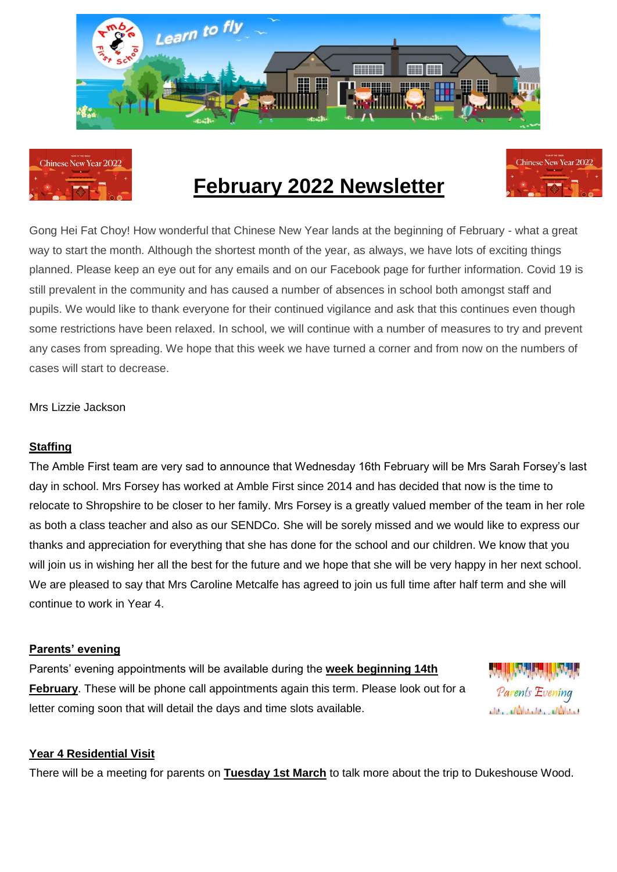



## **February 2022 Newsletter**



Gong Hei Fat Choy! How wonderful that Chinese New Year lands at the beginning of February - what a great way to start the month. Although the shortest month of the year, as always, we have lots of exciting things planned. Please keep an eye out for any emails and on our Facebook page for further information. Covid 19 is still prevalent in the community and has caused a number of absences in school both amongst staff and pupils. We would like to thank everyone for their continued vigilance and ask that this continues even though some restrictions have been relaxed. In school, we will continue with a number of measures to try and prevent any cases from spreading. We hope that this week we have turned a corner and from now on the numbers of cases will start to decrease.

Mrs Lizzie Jackson

## **Staffing**

The Amble First team are very sad to announce that Wednesday 16th February will be Mrs Sarah Forsey's last day in school. Mrs Forsey has worked at Amble First since 2014 and has decided that now is the time to relocate to Shropshire to be closer to her family. Mrs Forsey is a greatly valued member of the team in her role as both a class teacher and also as our SENDCo. She will be sorely missed and we would like to express our thanks and appreciation for everything that she has done for the school and our children. We know that you will join us in wishing her all the best for the future and we hope that she will be very happy in her next school. We are pleased to say that Mrs Caroline Metcalfe has agreed to join us full time after half term and she will continue to work in Year 4.

## **Parents' evening**

Parents' evening appointments will be available during the **week beginning 14th February**. These will be phone call appointments again this term. Please look out for a letter coming soon that will detail the days and time slots available.



## **Year 4 Residential Visit**

There will be a meeting for parents on **Tuesday 1st March** to talk more about the trip to Dukeshouse Wood.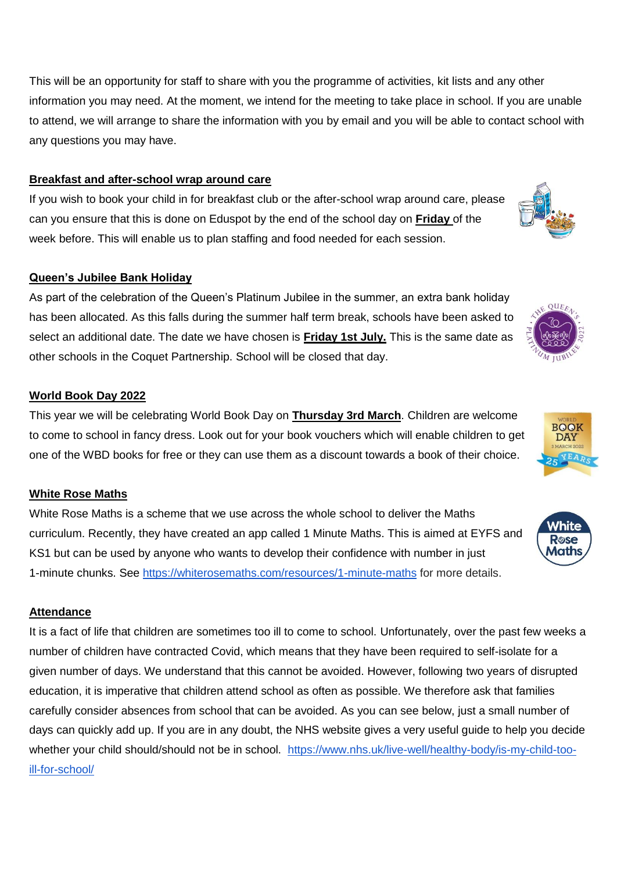This will be an opportunity for staff to share with you the programme of activities, kit lists and any other information you may need. At the moment, we intend for the meeting to take place in school. If you are unable to attend, we will arrange to share the information with you by email and you will be able to contact school with any questions you may have.

## **Breakfast and after-school wrap around care**

If you wish to book your child in for breakfast club or the after-school wrap around care, please can you ensure that this is done on Eduspot by the end of the school day on **Friday** of the week before. This will enable us to plan staffing and food needed for each session.

## **Queen's Jubilee Bank Holiday**

As part of the celebration of the Queen's Platinum Jubilee in the summer, an extra bank holiday has been allocated. As this falls during the summer half term break, schools have been asked to select an additional date. The date we have chosen is **Friday 1st July.** This is the same date as other schools in the Coquet Partnership. School will be closed that day.

## **World Book Day 2022**

This year we will be celebrating World Book Day on **Thursday 3rd March**. Children are welcome to come to school in fancy dress. Look out for your book vouchers which will enable children to get one of the WBD books for free or they can use them as a discount towards a book of their choice.

## **White Rose Maths**

White Rose Maths is a scheme that we use across the whole school to deliver the Maths curriculum. Recently, they have created an app called 1 Minute Maths. This is aimed at EYFS and KS1 but can be used by anyone who wants to develop their confidence with number in just 1-minute chunks. See<https://whiterosemaths.com/resources/1-minute-maths> for more details.

## **Attendance**

It is a fact of life that children are sometimes too ill to come to school. Unfortunately, over the past few weeks a number of children have contracted Covid, which means that they have been required to self-isolate for a given number of days. We understand that this cannot be avoided. However, following two years of disrupted education, it is imperative that children attend school as often as possible. We therefore ask that families carefully consider absences from school that can be avoided. As you can see below, just a small number of days can quickly add up. If you are in any doubt, the NHS website gives a very useful guide to help you decide whether your child should/should not be in school. [https://www.nhs.uk/live-well/healthy-body/is-my-child-too](https://www.nhs.uk/live-well/healthy-body/is-my-child-too-ill-for-school/)[ill-for-school/](https://www.nhs.uk/live-well/healthy-body/is-my-child-too-ill-for-school/)







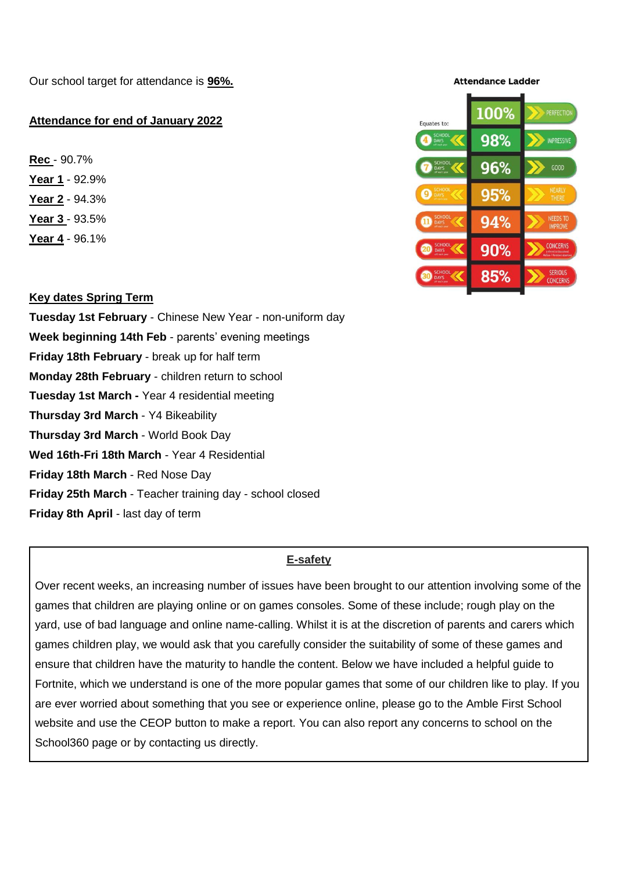Our school target for attendance is **96%.**

## **Attendance for end of January 2022**

**Rec** - 90.7% **Year 1** - 92.9% **Year 2** - 94.3% **Year 3** - 93.5% **Year 4** - 96.1%

## 100% PERFECTIO Fouates to 98% **IMPRESSIVE** 96%  $GQOD$ 95% 94% CONCERN  $90%$ **SERIOUS**<br>CONCERN 85%

**Attendance Ladder** 

### **Key dates Spring Term**

**Tuesday 1st February** - Chinese New Year - non-uniform day **Week beginning 14th Feb** - parents' evening meetings **Friday 18th February** - break up for half term **Monday 28th February** - children return to school **Tuesday 1st March -** Year 4 residential meeting **Thursday 3rd March** - Y4 Bikeability **Thursday 3rd March** - World Book Day **Wed 16th-Fri 18th March** - Year 4 Residential **Friday 18th March** - Red Nose Day **Friday 25th March** - Teacher training day - school closed **Friday 8th April** - last day of term

## **E-safety**

Over recent weeks, an increasing number of issues have been brought to our attention involving some of the games that children are playing online or on games consoles. Some of these include; rough play on the yard, use of bad language and online name-calling. Whilst it is at the discretion of parents and carers which games children play, we would ask that you carefully consider the suitability of some of these games and ensure that children have the maturity to handle the content. Below we have included a helpful guide to Fortnite, which we understand is one of the more popular games that some of our children like to play. If you are ever worried about something that you see or experience online, please go to the Amble First School website and use the CEOP button to make a report. You can also report any concerns to school on the School360 page or by contacting us directly.